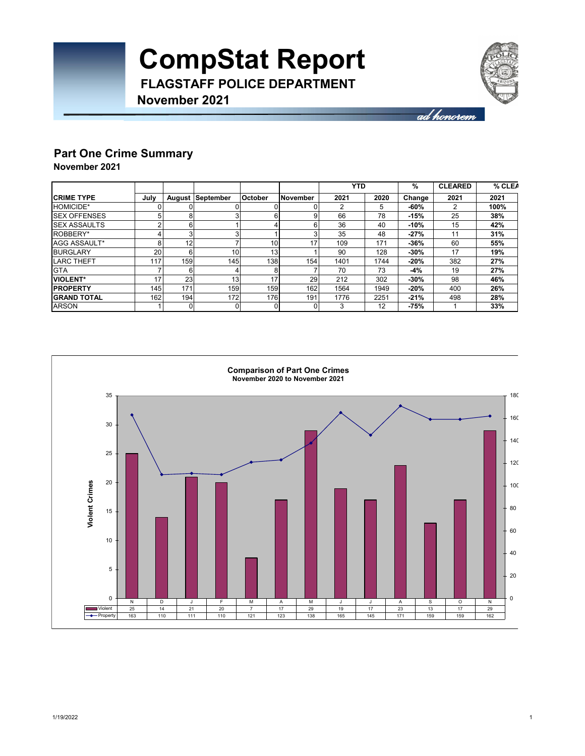**November 2021**



ad honorem

### **Part One Crime Summary**

**November 2021**

|                     |           |        |                 |                 |          | <b>YTD</b> |      | %      | <b>CLEARED</b> | $%$ CLEA |
|---------------------|-----------|--------|-----------------|-----------------|----------|------------|------|--------|----------------|----------|
| <b>CRIME TYPE</b>   | July      | August | September       | <b>October</b>  | November | 2021       | 2020 | Change | 2021           | 2021     |
| <b>HOMICIDE*</b>    |           |        |                 |                 |          | 2          | 5    | $-60%$ | 2              | 100%     |
| <b>SEX OFFENSES</b> | 5.        |        |                 |                 | 9        | 66         | 78   | $-15%$ | 25             | 38%      |
| <b>SEX ASSAULTS</b> |           | 6      |                 |                 | 6        | 36         | 40   | $-10%$ | 15             | 42%      |
| ROBBERY*            |           | ົ      |                 |                 | 3        | 35         | 48   | $-27%$ | 11             | 31%      |
| AGG ASSAULT*        | 8         | 12     |                 | 10 <sub>1</sub> | 17       | 109        | 171  | $-36%$ | 60             | 55%      |
| <b>BURGLARY</b>     | <b>20</b> | 6      | 10              | 13              |          | 90         | 128  | $-30%$ | 17             | 19%      |
| <b>LARC THEFT</b>   | 117       | 159    | 145             | 138             | 154      | 1401       | 1744 | $-20%$ | 382            | 27%      |
| <b>GTA</b>          |           | 6      |                 |                 |          | 70         | 73   | -4%    | 19             | 27%      |
| <b>VIOLENT*</b>     | 17        | 23     | 13 <sub>1</sub> | 17              | 29       | 212        | 302  | $-30%$ | 98             | 46%      |
| <b>IPROPERTY</b>    | 145       | 171    | 159             | 159             | 162      | 1564       | 1949 | $-20%$ | 400            | 26%      |
| <b>IGRAND TOTAL</b> | 162       | 194    | 172             | 176             | 191      | 1776       | 2251 | $-21%$ | 498            | 28%      |
| <b>ARSON</b>        |           |        |                 |                 | 0        | 3          | 12   | $-75%$ |                | 33%      |

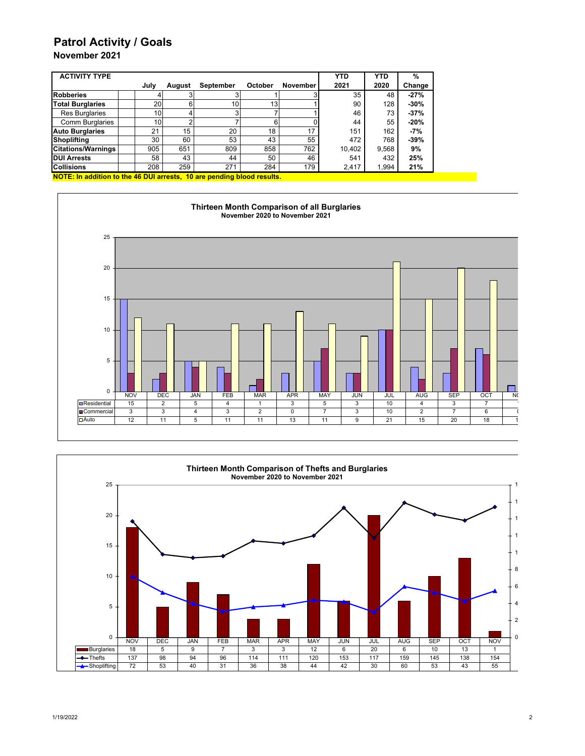## **Patrol Activity / Goals**

### **November 2021**

| <b>ACTIVITY TYPE</b>                                                            |  |                 |        |           |                 |                 | <b>YTD</b> | <b>YTD</b> | $\frac{0}{0}$ |
|---------------------------------------------------------------------------------|--|-----------------|--------|-----------|-----------------|-----------------|------------|------------|---------------|
|                                                                                 |  | July            | August | September | October         | <b>November</b> | 2021       | 2020       | Change        |
| <b>Robberies</b>                                                                |  |                 |        |           |                 |                 | 35         | 48         | $-27%$        |
| <b>Total Burglaries</b>                                                         |  | 20              |        | 10        | 13 <sub>1</sub> |                 | 90         | 128        | $-30%$        |
| <b>Res Burglaries</b>                                                           |  | 10              |        | ◠         |                 |                 | 46         | 73         | $-37%$        |
| <b>Comm Burglaries</b>                                                          |  | 10 <sub>1</sub> |        |           |                 |                 | 44         | 55         | $-20%$        |
| <b>Auto Burglaries</b>                                                          |  | 21              | 15     | 20        | 18              | 17              | 151        | 162        | $-7%$         |
| <b>Shoplifting</b>                                                              |  | 30              | 60     | 53        | 43              | 55              | 472        | 768        | $-39%$        |
| <b>Citations/Warnings</b>                                                       |  | 905             | 651    | 809       | 858             | 762             | 10.402     | 9,568      | 9%            |
| <b>DUI Arrests</b>                                                              |  | 58              | 43     | 44        | 50              | 46              | 541        | 432        | 25%           |
| <b>Collisions</b>                                                               |  | 208             | 259    | 271       | 284             | 179             | 2,417      | 1,994      | 21%           |
| NOTE: la establista de dise dC DIII encende. AO que non dina late est non ultre |  |                 |        |           |                 |                 |            |            |               |

**NOTE: In addition to the 46 DUI arrests, 10 are pending blood results.**



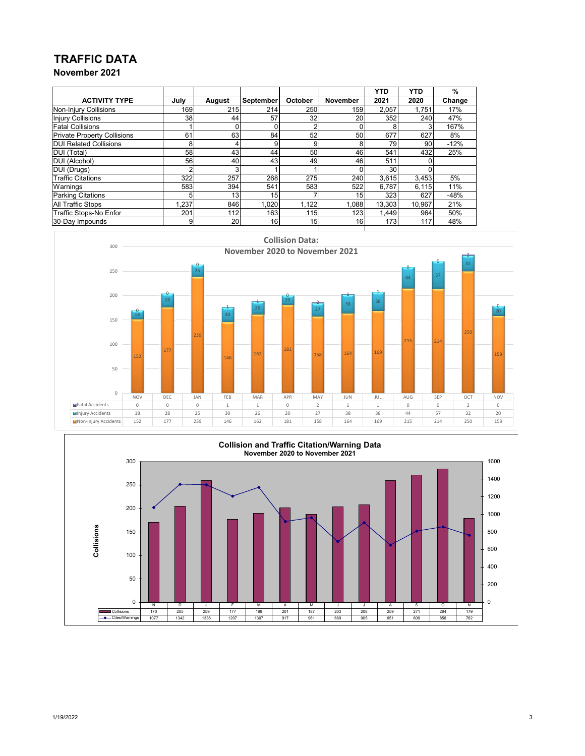## **TRAFFIC DATA**

**November 2021**

|                                    |                |                 |                  |                 |                 | <b>YTD</b> | <b>YTD</b> | %      |
|------------------------------------|----------------|-----------------|------------------|-----------------|-----------------|------------|------------|--------|
| <b>ACTIVITY TYPE</b>               | July           | August          | September        | October         | <b>November</b> | 2021       | 2020       | Change |
| Non-Injury Collisions              | 169            | 215             | 214              | 250             | 159             | 2,057      | 1,751      | 17%    |
| <b>Injury Collisions</b>           | 38             | 44              | 57               | 32              | 20              | 352        | 240        | 47%    |
| <b>Fatal Collisions</b>            |                | 0               |                  | 2               | 0               | 8          | 3          | 167%   |
| <b>Private Property Collisions</b> | 61             | 63              | 84               | 52              | 50              | 677        | 627        | 8%     |
| <b>DUI Related Collisions</b>      | 8              | 4               | 9                | 9               | 8               | 79         | 90         | $-12%$ |
| <b>DUI (Total)</b>                 | 58             | 43              | 44               | 50              | 46              | 541        | 432        | 25%    |
| DUI (Alcohol)                      | 56             | 40              | 43 <sub>l</sub>  | 49              | 46              | 511        |            |        |
| DUI (Drugs)                        | $\overline{2}$ | 3               |                  |                 | O               | 30         |            |        |
| <b>Traffic Citations</b>           | 322            | 257             | 268              | 275             | 240             | 3,615      | 3,453      | 5%     |
| Warnings                           | 583            | 394             | 541              | 583             | 522             | 6.787      | 6,115      | 11%    |
| <b>Parking Citations</b>           | 5              | 13 <sub>1</sub> | 15               |                 | 15              | 323        | 627        | $-48%$ |
| All Traffic Stops                  | 1.237          | 846             | 1,020            | 1,122           | 1.088           | 13.303     | 10.967     | 21%    |
| Traffic Stops-No Enfor             | 201            | 112             | 163 <sup>l</sup> | 115             | 123             | 1.449      | 964        | 50%    |
| 30-Day Impounds                    | 9              | 20              | 16               | 15 <sub>1</sub> | 16              | 1731       | 117        | 48%    |





1/19/2022 3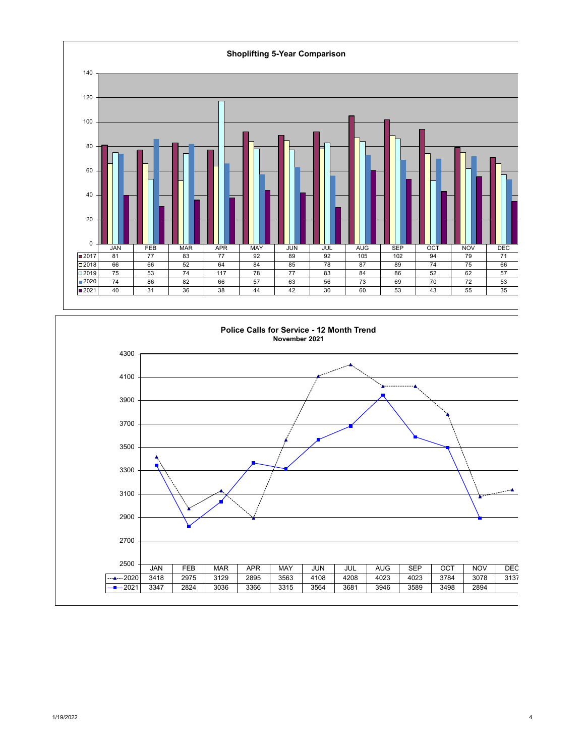

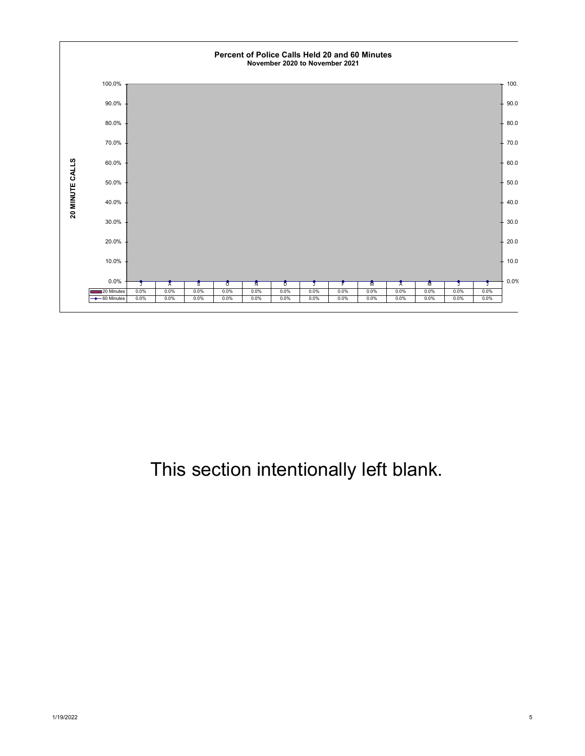

## This section intentionally left blank.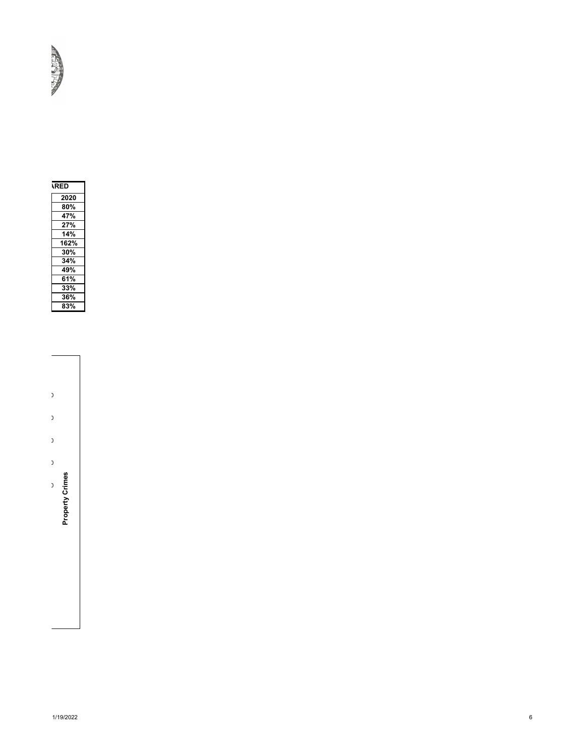



 $\mathfrak z$  $\mathfrak z$  $\mathfrak{z}$ Property Crimes **Property Crimes**  $\mathfrak{z}$ 

כ)<br>כ)

 $\mathfrak z$ 

1/19/2022

6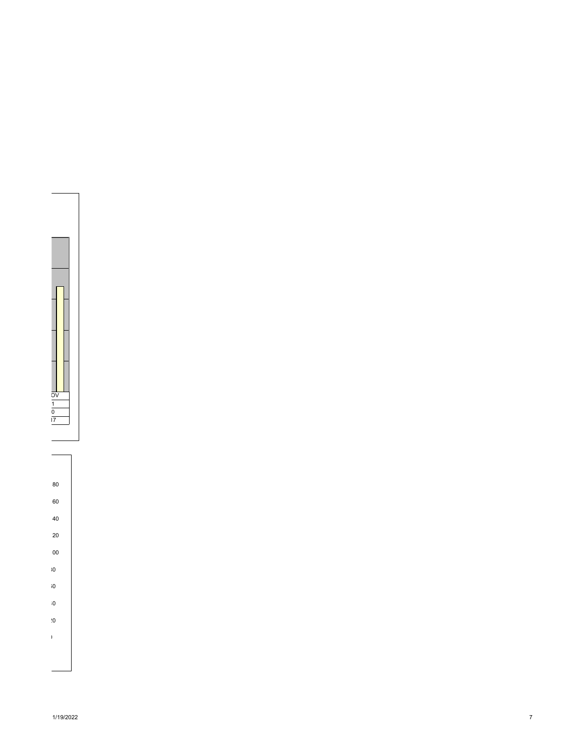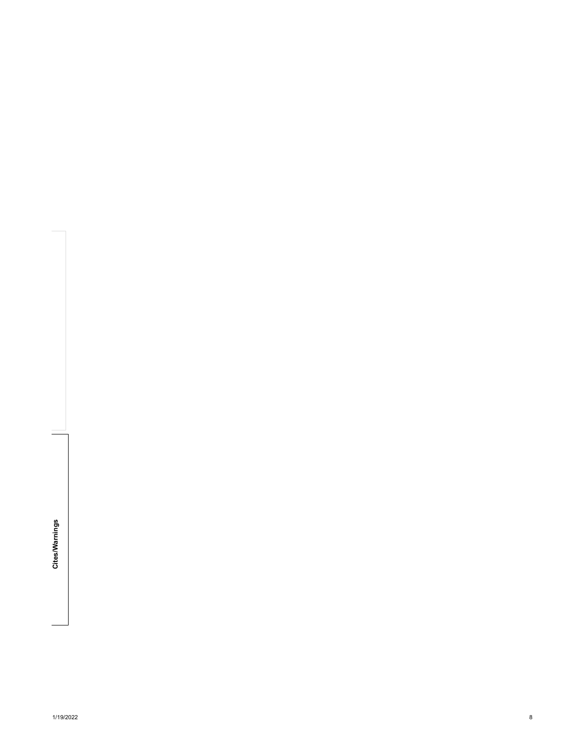**Cites/Warnings Cites/Warnings**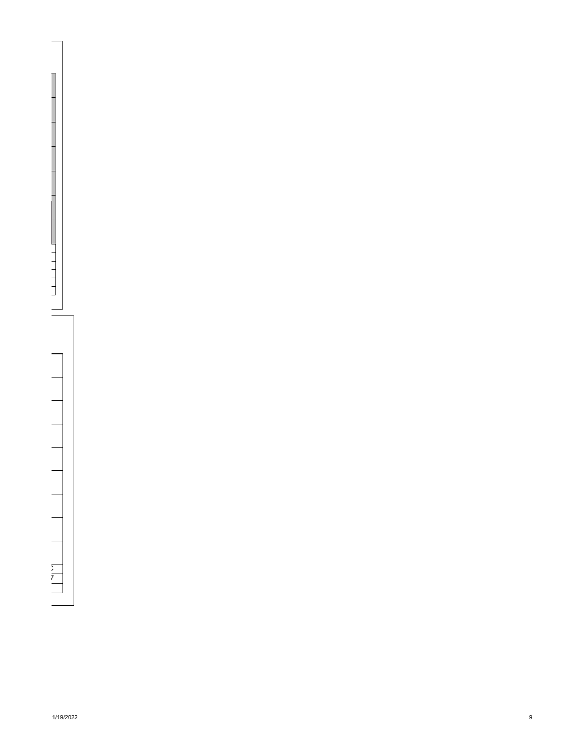$\frac{2}{7}$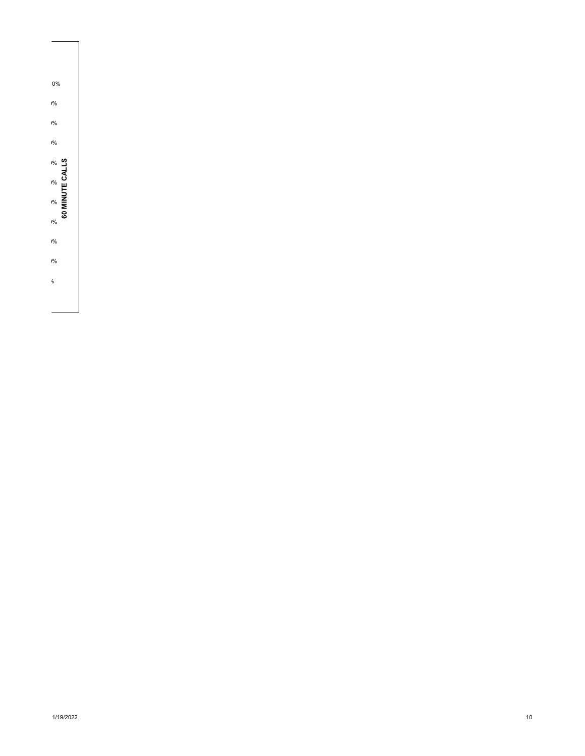$0\%$ 0% % % % % % % % % % %  $\frac{1}{2}$  $\frac{1}{2}$  $\frac{1}{2}$ १ हे हे हे<br>60 MINUTE CALLS **60 MINUTE CALLS**  $\frac{1}{2}$  $\frac{9}{6}$  $\%$  $\mathbf 6$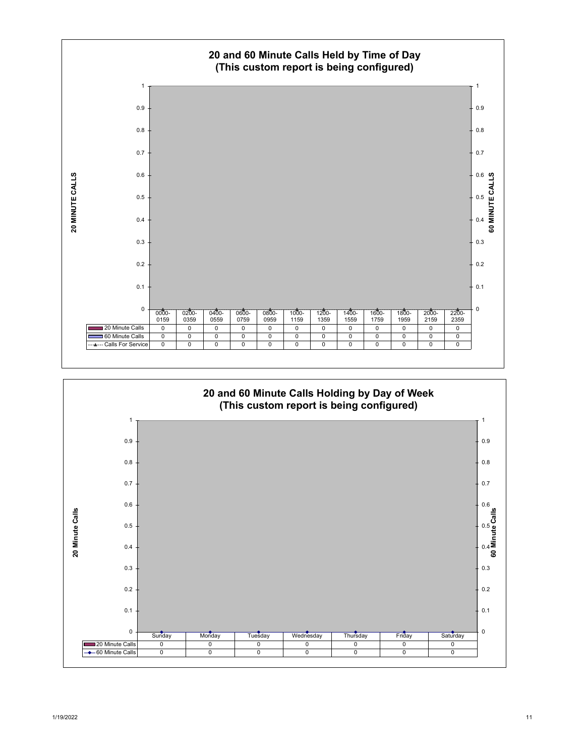

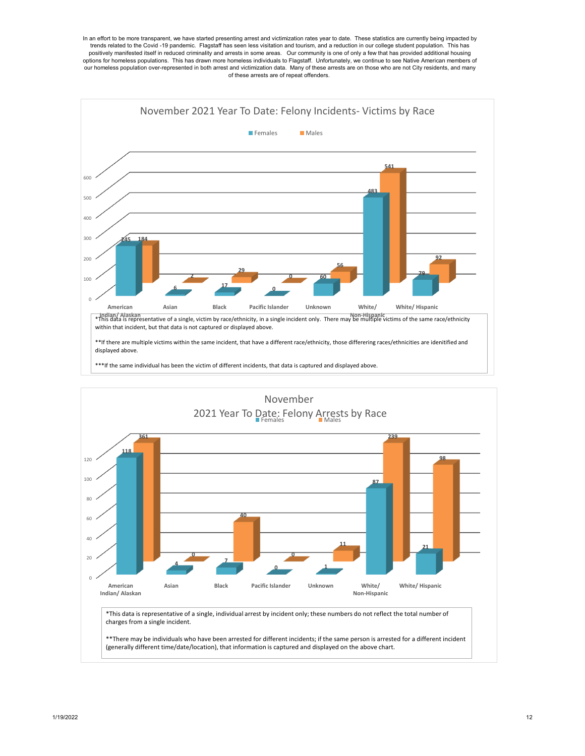In an effort to be more transparent, we have started presenting arrest and victimization rates year to date. These statistics are currently being impacted by trends related to the Covid -19 pandemic. Flagstaff has seen less visitation and tourism, and a reduction in our college student population. This has positively manifested itself in reduced criminality and arrests in some areas. Our community is one of only a few that has provided additional housing options for homeless populations. This has drawn more homeless individuals to Flagstaff. Unfortunately, we continue to see Native American members of our homeless population over-represented in both arrest and victimization data. Many of these arrests are on those who are not City residents, and many of these arrests are of repeat offenders.



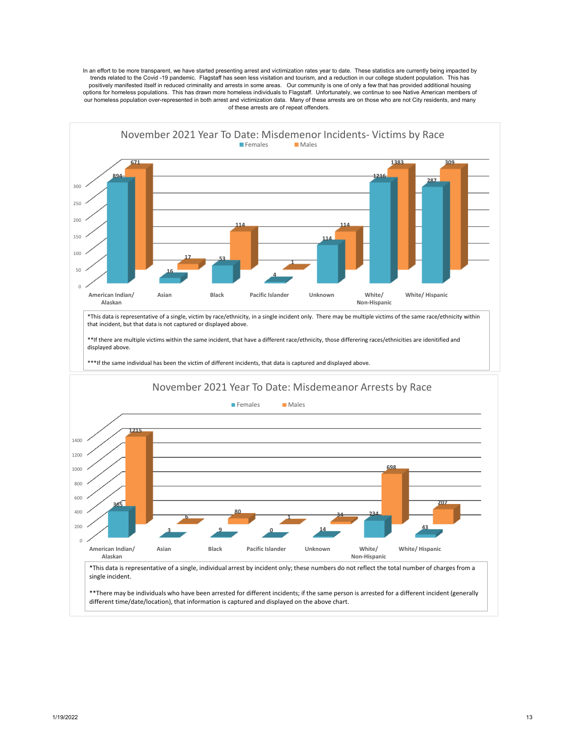In an effort to be more transparent, we have started presenting arrest and victimization rates year to date. These statistics are currently being impacted by trends related to the Covid -19 pandemic. Flagstaff has seen less visitation and tourism, and a reduction in our college student population. This has positively manifested itself in reduced criminality and arrests in some areas. Our community is one of only a few that has provided additional housing options for homeless populations. This has drawn more homeless individuals to Flagstaff. Unfortunately, we continue to see Native American members of our homeless population over-represented in both arrest and victimization data. Many of these arrests are on those who are not City residents, and many of these arrests are of repeat offenders.

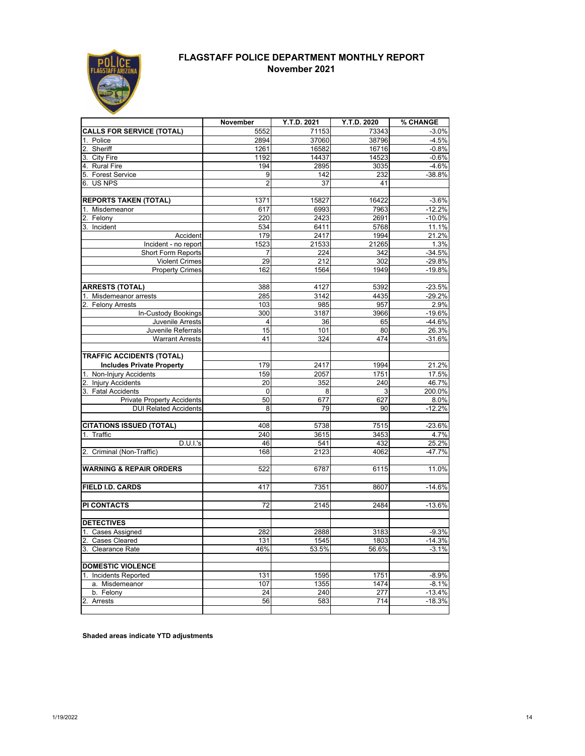

### **FLAGSTAFF POLICE DEPARTMENT MONTHLY REPORT November 2021**

|                                    | November       | Y.T.D. 2021 | Y.T.D. 2020 | % CHANGE         |
|------------------------------------|----------------|-------------|-------------|------------------|
| <b>CALLS FOR SERVICE (TOTAL)</b>   | 5552           | 71153       | 73343       | $-3.0%$          |
| 1. Police                          | 2894           | 37060       | 38796       | $-4.5%$          |
| 2. Sheriff                         | 1261           | 16582       | 16716       | $-0.8%$          |
| 3. City Fire                       | 1192           | 14437       | 14523       | $-0.6%$          |
| 4. Rural Fire                      | 194            | 2895        | 3035        | $-4.6%$          |
| 5. Forest Service                  | 9              | 142         | 232         | $-38.8%$         |
| 6. US NPS                          | $\overline{2}$ | 37          | 41          |                  |
|                                    |                |             |             |                  |
| <b>REPORTS TAKEN (TOTAL)</b>       | 1371           | 15827       | 16422       | $-3.6%$          |
| Misdemeanor<br>1 <sub>1</sub>      | 617            | 6993        | 7963        | $-12.2%$         |
| Felony                             | 220            | 2423        | 2691        | $-10.0%$         |
| 3. Incident                        | 534            | 6411        | 5768        | 11.1%            |
| Accident                           | 179            | 2417        | 1994        | 21.2%            |
| Incident - no report               | 1523           | 21533       | 21265       | 1.3%             |
| Short Form Reports                 | $\overline{7}$ | 224         | 342         | $-34.5%$         |
| <b>Violent Crimes</b>              | 29             | 212         | 302         | $-29.8%$         |
| <b>Property Crimes</b>             | 162            | 1564        | 1949        | $-19.8%$         |
|                                    |                |             |             |                  |
| <b>ARRESTS (TOTAL)</b>             | 388            | 4127        | 5392        | $-23.5%$         |
| Misdemeanor arrests<br>1.          | 285            | 3142        | 4435        | $-29.2%$         |
| <b>Felony Arrests</b>              | 103            | 985         | 957         | 2.9%             |
| In-Custody Bookings                | 300            | 3187        | 3966        | $-19.6%$         |
| Juvenile Arrests                   | $\overline{4}$ | 36          | 65          | $-44.6%$         |
| Juvenile Referrals                 | 15             | 101         | 80          | 26.3%            |
| <b>Warrant Arrests</b>             | 41             | 324         | 474         | $-31.6%$         |
|                                    |                |             |             |                  |
| <b>TRAFFIC ACCIDENTS (TOTAL)</b>   |                |             |             |                  |
| <b>Includes Private Property</b>   | 179            | 2417        | 1994        | 21.2%            |
| Non-Injury Accidents               | 159            | 2057        | 1751        | 17.5%            |
| 2. Injury Accidents                | 20             | 352         | 240         | 46.7%            |
| 3.<br><b>Fatal Accidents</b>       | 0              | 8           | 3           | 200.0%           |
| <b>Private Property Accidents</b>  | 50             | 677<br>79   | 627         | 8.0%<br>$-12.2%$ |
| <b>DUI Related Accidents</b>       | 8              |             | 90          |                  |
| <b>CITATIONS ISSUED (TOTAL)</b>    | 408            | 5738        | 7515        | $-23.6%$         |
|                                    |                |             |             |                  |
| 1. Traffic<br>D.U.I.'s             | 240<br>46      | 3615<br>541 | 3453<br>432 | 4.7%<br>25.2%    |
| Criminal (Non-Traffic)<br>2.       | 168            | 2123        | 4062        | $-47.7%$         |
|                                    |                |             |             |                  |
| <b>WARNING &amp; REPAIR ORDERS</b> | 522            | 6787        | 6115        | 11.0%            |
|                                    |                |             |             |                  |
| <b>FIELD I.D. CARDS</b>            | 417            | 7351        | 8607        | $-14.6%$         |
|                                    |                |             |             |                  |
| <b>PI CONTACTS</b>                 | 72             | 2145        | 2484        | $-13.6%$         |
|                                    |                |             |             |                  |
| <b>DETECTIVES</b>                  |                |             |             |                  |
| 1. Cases Assigned                  | 282            | 2888        | 3183        | $-9.3%$          |
| 2. Cases Cleared                   | 131            | 1545        | 1803        | $-14.3%$         |
| 3. Clearance Rate                  | 46%            | 53.5%       | 56.6%       | $-3.1%$          |
|                                    |                |             |             |                  |
| <b>DOMESTIC VIOLENCE</b>           |                |             |             |                  |
| 1. Incidents Reported              | 131            | 1595        | 1751        | $-8.9%$          |
| a. Misdemeanor                     | 107            | 1355        | 1474        | $-8.1%$          |
| b. Felony                          | 24             | 240         | 277         | $-13.4%$         |
| $\overline{2}$ .<br>Arrests        | 56             | 583         | 714         | $-18.3%$         |
|                                    |                |             |             |                  |

**Shaded areas indicate YTD adjustments**